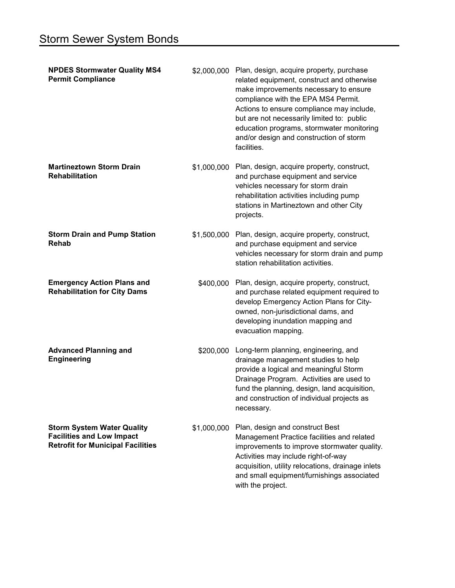| <b>NPDES Stormwater Quality MS4</b><br><b>Permit Compliance</b>                                                   | \$2,000,000 | Plan, design, acquire property, purchase<br>related equipment, construct and otherwise<br>make improvements necessary to ensure<br>compliance with the EPA MS4 Permit.<br>Actions to ensure compliance may include,<br>but are not necessarily limited to: public<br>education programs, stormwater monitoring<br>and/or design and construction of storm<br>facilities. |
|-------------------------------------------------------------------------------------------------------------------|-------------|--------------------------------------------------------------------------------------------------------------------------------------------------------------------------------------------------------------------------------------------------------------------------------------------------------------------------------------------------------------------------|
| <b>Martineztown Storm Drain</b><br><b>Rehabilitation</b>                                                          | \$1,000,000 | Plan, design, acquire property, construct,<br>and purchase equipment and service<br>vehicles necessary for storm drain<br>rehabilitation activities including pump<br>stations in Martineztown and other City<br>projects.                                                                                                                                               |
| <b>Storm Drain and Pump Station</b><br><b>Rehab</b>                                                               | \$1,500,000 | Plan, design, acquire property, construct,<br>and purchase equipment and service<br>vehicles necessary for storm drain and pump<br>station rehabilitation activities.                                                                                                                                                                                                    |
| <b>Emergency Action Plans and</b><br><b>Rehabilitation for City Dams</b>                                          | \$400,000   | Plan, design, acquire property, construct,<br>and purchase related equipment required to<br>develop Emergency Action Plans for City-<br>owned, non-jurisdictional dams, and<br>developing inundation mapping and<br>evacuation mapping.                                                                                                                                  |
| <b>Advanced Planning and</b><br><b>Engineering</b>                                                                | \$200,000   | Long-term planning, engineering, and<br>drainage management studies to help<br>provide a logical and meaningful Storm<br>Drainage Program. Activities are used to<br>fund the planning, design, land acquisition,<br>and construction of individual projects as<br>necessary.                                                                                            |
| <b>Storm System Water Quality</b><br><b>Facilities and Low Impact</b><br><b>Retrofit for Municipal Facilities</b> | \$1,000,000 | Plan, design and construct Best<br>Management Practice facilities and related<br>improvements to improve stormwater quality.<br>Activities may include right-of-way<br>acquisition, utility relocations, drainage inlets<br>and small equipment/furnishings associated<br>with the project.                                                                              |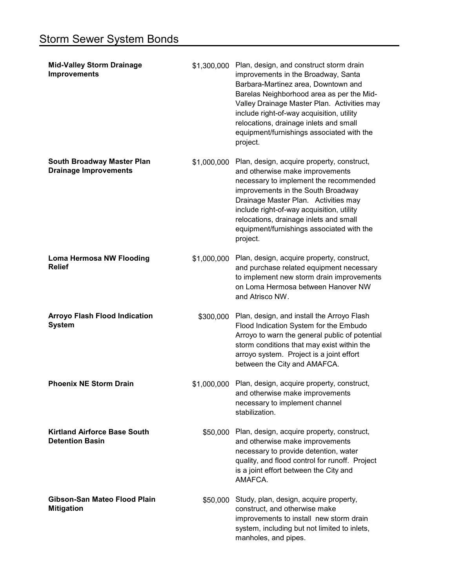| <b>Mid-Valley Storm Drainage</b><br><b>Improvements</b>           |             | \$1,300,000 Plan, design, and construct storm drain<br>improvements in the Broadway, Santa<br>Barbara-Martinez area, Downtown and<br>Barelas Neighborhood area as per the Mid-<br>Valley Drainage Master Plan. Activities may<br>include right-of-way acquisition, utility<br>relocations, drainage inlets and small<br>equipment/furnishings associated with the<br>project. |
|-------------------------------------------------------------------|-------------|-------------------------------------------------------------------------------------------------------------------------------------------------------------------------------------------------------------------------------------------------------------------------------------------------------------------------------------------------------------------------------|
| <b>South Broadway Master Plan</b><br><b>Drainage Improvements</b> | \$1,000,000 | Plan, design, acquire property, construct,<br>and otherwise make improvements<br>necessary to implement the recommended<br>improvements in the South Broadway<br>Drainage Master Plan. Activities may<br>include right-of-way acquisition, utility<br>relocations, drainage inlets and small<br>equipment/furnishings associated with the<br>project.                         |
| <b>Loma Hermosa NW Flooding</b><br><b>Relief</b>                  | \$1,000,000 | Plan, design, acquire property, construct,<br>and purchase related equipment necessary<br>to implement new storm drain improvements<br>on Loma Hermosa between Hanover NW<br>and Atrisco NW.                                                                                                                                                                                  |
| <b>Arroyo Flash Flood Indication</b><br><b>System</b>             | \$300,000   | Plan, design, and install the Arroyo Flash<br>Flood Indication System for the Embudo<br>Arroyo to warn the general public of potential<br>storm conditions that may exist within the<br>arroyo system. Project is a joint effort<br>between the City and AMAFCA.                                                                                                              |
| <b>Phoenix NE Storm Drain</b>                                     |             | \$1,000,000 Plan, design, acquire property, construct,<br>and otherwise make improvements<br>necessary to implement channel<br>stabilization.                                                                                                                                                                                                                                 |
| <b>Kirtland Airforce Base South</b><br><b>Detention Basin</b>     |             | \$50,000 Plan, design, acquire property, construct,<br>and otherwise make improvements<br>necessary to provide detention, water<br>quality, and flood control for runoff. Project<br>is a joint effort between the City and<br>AMAFCA.                                                                                                                                        |
| Gibson-San Mateo Flood Plain<br><b>Mitigation</b>                 | \$50,000    | Study, plan, design, acquire property,<br>construct, and otherwise make<br>improvements to install new storm drain<br>system, including but not limited to inlets,<br>manholes, and pipes.                                                                                                                                                                                    |